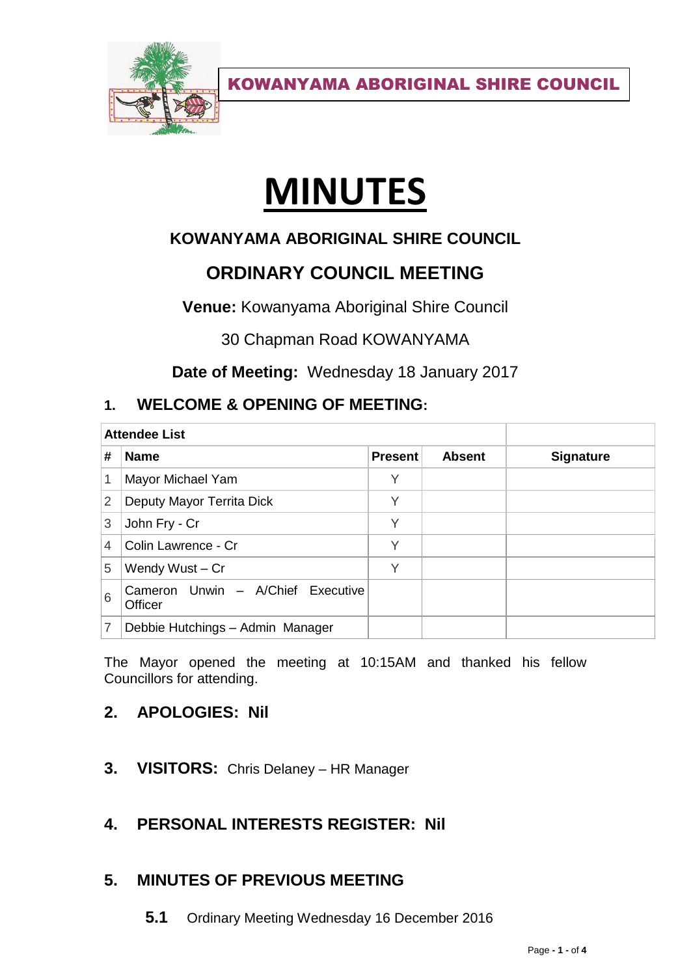

# **MINUTES**

## **KOWANYAMA ABORIGINAL SHIRE COUNCIL**

# **ORDINARY COUNCIL MEETING**

**Venue:** Kowanyama Aboriginal Shire Council

30 Chapman Road KOWANYAMA

**Date of Meeting:** Wednesday 18 January 2017

## **1. WELCOME & OPENING OF MEETING:**

| <b>Attendee List</b> |                                              |                |               |                  |
|----------------------|----------------------------------------------|----------------|---------------|------------------|
| #                    | <b>Name</b>                                  | <b>Present</b> | <b>Absent</b> | <b>Signature</b> |
| 1                    | Mayor Michael Yam                            | Υ              |               |                  |
| 2                    | Deputy Mayor Territa Dick                    | Υ              |               |                  |
| 3                    | John Fry - Cr                                | Υ              |               |                  |
| 4                    | Colin Lawrence - Cr                          | Υ              |               |                  |
| 5                    | Wendy Wust - Cr                              | V              |               |                  |
| 6                    | Cameron Unwin - A/Chief Executive<br>Officer |                |               |                  |
| 7                    | Debbie Hutchings - Admin Manager             |                |               |                  |

The Mayor opened the meeting at 10:15AM and thanked his fellow Councillors for attending.

## **2. APOLOGIES: Nil**

**3. VISITORS:** Chris Delaney – HR Manager

## **4. PERSONAL INTERESTS REGISTER: Nil**

## **5. MINUTES OF PREVIOUS MEETING**

**5.1** Ordinary Meeting Wednesday 16 December 2016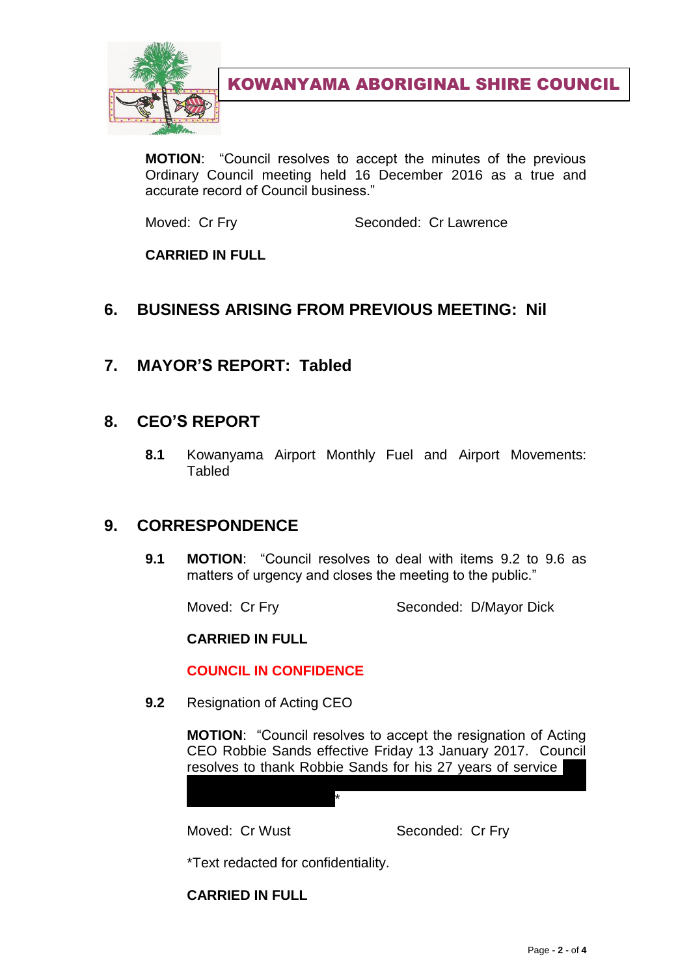

**MOTION**: "Council resolves to accept the minutes of the previous Ordinary Council meeting held 16 December 2016 as a true and accurate record of Council business."

Moved: Cr Fry Seconded: Cr Lawrence

**CARRIED IN FULL**

## **6. BUSINESS ARISING FROM PREVIOUS MEETING: Nil**

**7. MAYOR'S REPORT: Tabled**

## **8. CEO'S REPORT**

**8.1** Kowanyama Airport Monthly Fuel and Airport Movements: Tabled

## **9. CORRESPONDENCE**

**9.1 MOTION**: "Council resolves to deal with items 9.2 to 9.6 as matters of urgency and closes the meeting to the public."

Moved: Cr Fry Seconded: D/Mayor Dick

**CARRIED IN FULL**

#### **COUNCIL IN CONFIDENCE**

**9.2** Resignation of Acting CEO

**MOTION**: "Council resolves to accept the resignation of Acting CEO Robbie Sands effective Friday 13 January 2017. Council resolves to thank Robbie Sands for his 27 years of service

to pay 4 weeks severance as a sign of goodwill given that he

failed to provide notice. The provide notice notice. The provide notice  $\star$ 

Moved: Cr Wust Seconded: Cr Fry

\*Text redacted for confidentiality.

**CARRIED IN FULL**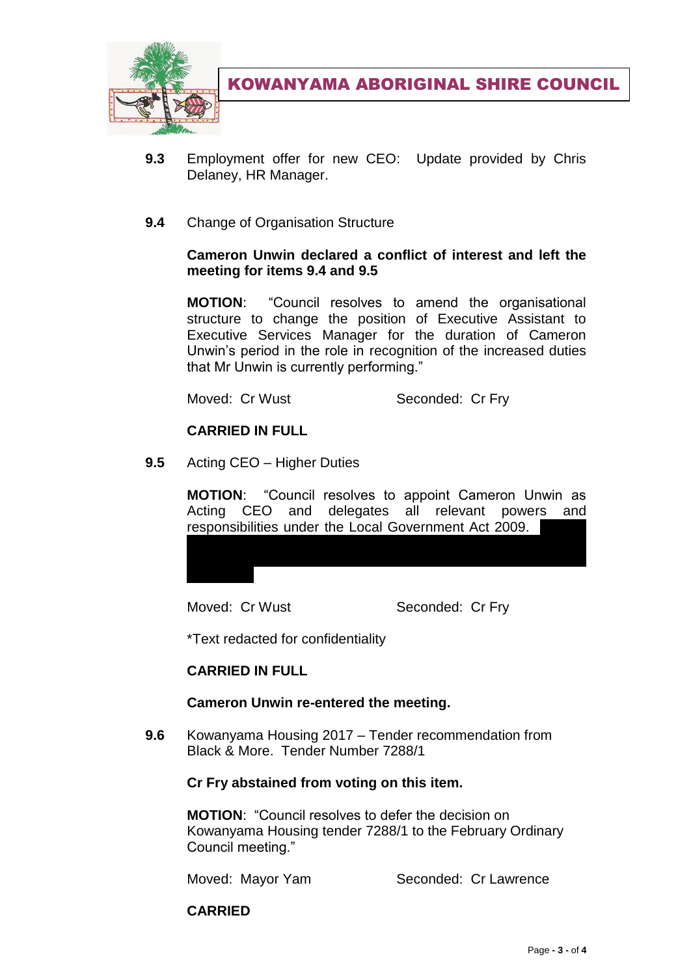

- **9.3** Employment offer for new CEO: Update provided by Chris Delaney, HR Manager.
- **9.4** Change of Organisation Structure

#### **Cameron Unwin declared a conflict of interest and left the meeting for items 9.4 and 9.5**

**MOTION**: "Council resolves to amend the organisational structure to change the position of Executive Assistant to Executive Services Manager for the duration of Cameron Unwin's period in the role in recognition of the increased duties that Mr Unwin is currently performing."

Moved: Cr Wust Seconded: Cr Fry

#### **CARRIED IN FULL**

**9.5** Acting CEO – Higher Duties

**MOTION**: "Council resolves to appoint Cameron Unwin as Acting CEO and delegates all relevant powers and responsibilities under the Local Government Act 2009.

resolves to pay a salary of \$120,000 per annum pro rata for the period he is Acting CEO – 75% of the previously applied rate of

Moved: Cr Wust Seconded: Cr Fry

\*Text redacted for confidentiality

#### **CARRIED IN FULL**

#### **Cameron Unwin re-entered the meeting.**

**9.6** Kowanyama Housing 2017 – Tender recommendation from Black & More. Tender Number 7288/1

#### **Cr Fry abstained from voting on this item.**

**MOTION**: "Council resolves to defer the decision on Kowanyama Housing tender 7288/1 to the February Ordinary Council meeting."

Moved: Mayor Yam Seconded: Cr Lawrence

**CARRIED**